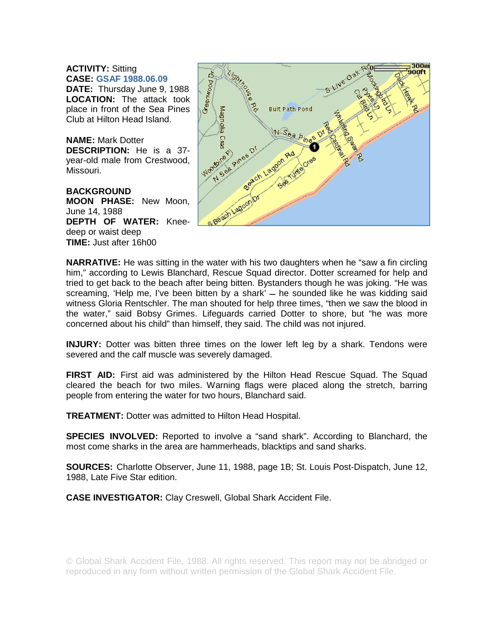## **ACTIVITY:** Sitting **CASE: GSAF 1988.06.09**

**DATE:** Thursday June 9, 1988 **LOCATION:** The attack took place in front of the Sea Pines Club at Hilton Head Island.

**NAME:** Mark Dotter **DESCRIPTION:** He is a 37 year-old male from Crestwood, Missouri.

**BACKGROUND MOON PHASE:** New Moon, June 14, 1988 **DEPTH OF WATER:** Kneedeep or waist deep **TIME:** Just after 16h00



**NARRATIVE:** He was sitting in the water with his two daughters when he "saw a fin circling him," according to Lewis Blanchard, Rescue Squad director. Dotter screamed for help and tried to get back to the beach after being bitten. Bystanders though he was joking. "He was screaming, 'Help me, I've been bitten by a shark'  $-$  he sounded like he was kidding said witness Gloria Rentschler. The man shouted for help three times, "then we saw the blood in the water," said Bobsy Grimes. Lifeguards carried Dotter to shore, but "he was more concerned about his child" than himself, they said. The child was not injured.

**INJURY:** Dotter was bitten three times on the lower left leg by a shark. Tendons were severed and the calf muscle was severely damaged.

**FIRST AID:** First aid was administered by the Hilton Head Rescue Squad. The Squad cleared the beach for two miles. Warning flags were placed along the stretch, barring people from entering the water for two hours, Blanchard said.

**TREATMENT:** Dotter was admitted to Hilton Head Hospital.

**SPECIES INVOLVED:** Reported to involve a "sand shark". According to Blanchard, the most come sharks in the area are hammerheads, blacktips and sand sharks.

**SOURCES:** Charlotte Observer, June 11, 1988, page 1B; St. Louis Post-Dispatch, June 12, 1988, Late Five Star edition.

**CASE INVESTIGATOR:** Clay Creswell, Global Shark Accident File.

© Global Shark Accident File, 1988. All rights reserved. This report may not be abridged or reproduced in any form without written permission of the Global Shark Accident File.